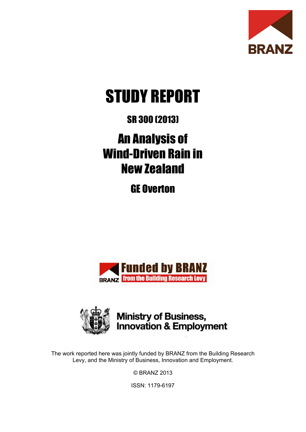

# STUDY REPORT

## SR 300 (2013)

## An Analysis of Wind-Driven Rain in New Zealand

GE Overton





**Ministry of Business,<br>Innovation & Employment** 

The work reported here was jointly funded by BRANZ from the Building Research Levy, and the Ministry of Business, Innovation and Employment.

© BRANZ 2013

ISSN: 1179-6197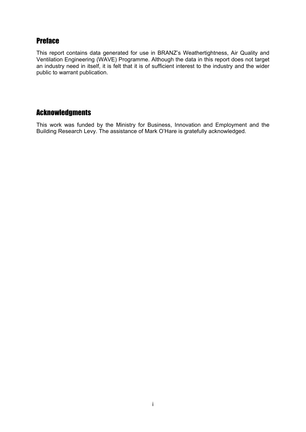## **Preface**

This report contains data generated for use in BRANZ's Weathertightness, Air Quality and Ventilation Engineering (WAVE) Programme. Although the data in this report does not target an industry need in itself, it is felt that it is of sufficient interest to the industry and the wider public to warrant publication.

## **Acknowledgments**

This work was funded by the Ministry for Business, Innovation and Employment and the Building Research Levy. The assistance of Mark O'Hare is gratefully acknowledged.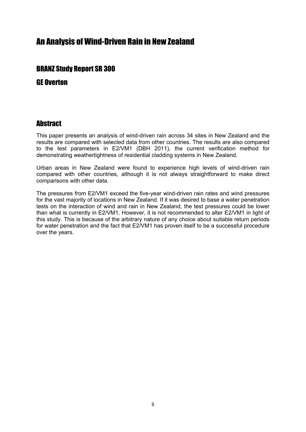## An Analysis of Wind-Driven Rain in New Zealand

## **BRANZ Study Report SR 300**

## **GE Overton**

## **Ahstract**

This paper presents an analysis of wind-driven rain across 34 sites in New Zealand and the results are compared with selected data from other countries. The results are also compared to the test parameters in E2/VM1 (DBH 2011), the current verification method for demonstrating weathertightness of residential cladding systems in New Zealand.

Urban areas in New Zealand were found to experience high levels of wind-driven rain compared with other countries, although it is not always straightforward to make direct comparisons with other data.

The pressures from E2/VM1 exceed the five-year wind-driven rain rates and wind pressures for the vast majority of locations in New Zealand. If it was desired to base a water penetration tests on the interaction of wind and rain in New Zealand, the test pressures could be lower than what is currently in E2/VM1. However, it is not recommended to alter E2/VM1 in light of this study. This is because of the arbitrary nature of any choice about suitable return periods for water penetration and the fact that E2/VM1 has proven itself to be a successful procedure over the years.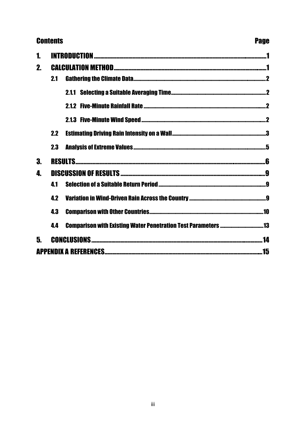## **Contents**

## **Page**

| 2. |     |  |     |  |  |  |
|----|-----|--|-----|--|--|--|
|    | 2.1 |  |     |  |  |  |
|    |     |  |     |  |  |  |
|    |     |  |     |  |  |  |
|    |     |  |     |  |  |  |
|    | 2.2 |  |     |  |  |  |
|    | 23  |  |     |  |  |  |
| 3. |     |  |     |  |  |  |
| 4. |     |  |     |  |  |  |
|    | 41  |  |     |  |  |  |
|    | 42  |  |     |  |  |  |
|    | 43  |  |     |  |  |  |
|    | 44  |  |     |  |  |  |
| 5. |     |  | 14  |  |  |  |
|    |     |  | .15 |  |  |  |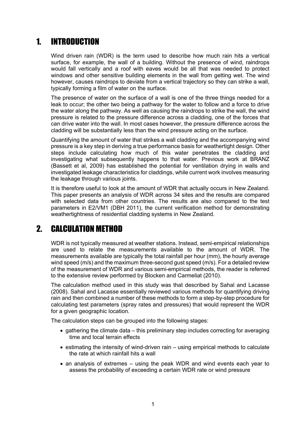#### $\blacksquare$ **INTRODUCTION**

Wind driven rain (WDR) is the term used to describe how much rain hits a vertical surface, for example, the wall of a building. Without the presence of wind, raindrops would fall vertically and a roof with eaves would be all that was needed to protect windows and other sensitive building elements in the wall from getting wet. The wind however, causes raindrops to deviate from a vertical trajectory so they can strike a wall. typically forming a film of water on the surface.

The presence of water on the surface of a wall is one of the three things needed for a leak to occur; the other two being a pathway for the water to follow and a force to drive the water along the pathway. As well as causing the raindrops to strike the wall, the wind pressure is related to the pressure difference across a cladding, one of the forces that can drive water into the wall. In most cases however, the pressure difference across the cladding will be substantially less than the wind pressure acting on the surface.

Quantifying the amount of water that strikes a wall cladding and the accompanying wind pressure is a key step in deriving a true performance basis for weathertight design. Other steps include calculating how much of this water penetrates the cladding and investigating what subsequently happens to that water. Previous work at BRANZ (Bassett et al. 2009) has established the potential for ventilation drying in walls and investigated leakage characteristics for claddings, while current work involves measuring the leakage through various joints.

It is therefore useful to look at the amount of WDR that actually occurs in New Zealand. This paper presents an analysis of WDR across 34 sites and the results are compared with selected data from other countries. The results are also compared to the test parameters in E2/VM1 (DBH 2011), the current verification method for demonstrating weathertightness of residential cladding systems in New Zealand.

#### $\boldsymbol{\eta}$ **CALCULATION METHOD**

WDR is not typically measured at weather stations. Instead, semi-empirical relationships are used to relate the measurements available to the amount of WDR. The measurements available are typically the total rainfall per hour (mm), the hourly average wind speed (m/s) and the maximum three-second gust speed (m/s). For a detailed review of the measurement of WDR and various semi-empirical methods, the reader is referred to the extensive review performed by Blocken and Carmeliat (2010).

The calculation method used in this study was that described by Sahal and Lacasse (2008). Sahal and Lacasse essentially reviewed various methods for quantifying driving rain and then combined a number of these methods to form a step-by-step procedure for calculating test parameters (spray rates and pressures) that would represent the WDR for a given geographic location.

The calculation steps can be grouped into the following stages:

- gathering the climate data this preliminary step includes correcting for averaging time and local terrain effects
- estimating the intensity of wind-driven rain using empirical methods to calculate the rate at which rainfall hits a wall
- an analysis of extremes using the peak WDR and wind events each year to assess the probability of exceeding a certain WDR rate or wind pressure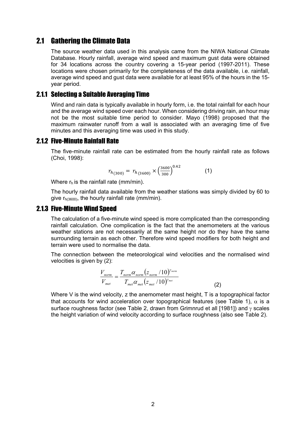## **2.1 Gathering the Climate Data**

The source weather data used in this analysis came from the NIWA National Climate Database. Hourly rainfall, average wind speed and maximum gust data were obtained for 34 locations across the country covering a 15-year period (1997-2011). These locations were chosen primarily for the completeness of the data available, i.e. rainfall. average wind speed and gust data were available for at least 95% of the hours in the 15vear period.

## **2.1.1 Selecting a Suitable Averaging Time**

Wind and rain data is typically available in hourly form, i.e. the total rainfall for each hour and the average wind speed over each hour. When considering driving rain, an hour may not be the most suitable time period to consider. Mayo (1998) proposed that the maximum rainwater runoff from a wall is associated with an averaging time of five minutes and this averaging time was used in this study.

## **2.1.2 Five-Minute Rainfall Rate**

The five-minute rainfall rate can be estimated from the hourly rainfall rate as follows (Choi, 1998):

$$
r_{h(300)} = r_{h(3600)} \times \left(\frac{3600}{300}\right)^{0.42} \tag{1}
$$

Where  $r_h$  is the rainfall rate (mm/min).

The hourly rainfall data available from the weather stations was simply divided by 60 to give  $r_{h(3600)}$ , the hourly rainfall rate (mm/min).

### **2.1.3 Five-Minute Wind Speed**

The calculation of a five-minute wind speed is more complicated than the corresponding rainfall calculation. One complication is the fact that the anemometers at the various weather stations are not necessarily at the same height nor do they have the same surrounding terrain as each other. Therefore wind speed modifiers for both height and terrain were used to normalise the data.

The connection between the meteorological wind velocities and the normalised wind velocities is given by (2):

$$
\frac{V_{norm}}{V_{met}} = \frac{T_{norm} \alpha_{norm} (z_{norm} / 10)^{\gamma_{norm}}}{T_{met} \alpha_{met} (z_{met} / 10)^{\gamma_{met}}}
$$
\n(2)

Where V is the wind velocity, z the anemometer mast height, T is a topographical factor that accounts for wind acceleration over topographical features (see Table 1),  $\alpha$  is a surface roughness factor (see Table 2, drawn from Grimnrud et all [1981]) and  $\gamma$  scales the height variation of wind velocity according to surface roughness (also see Table 2).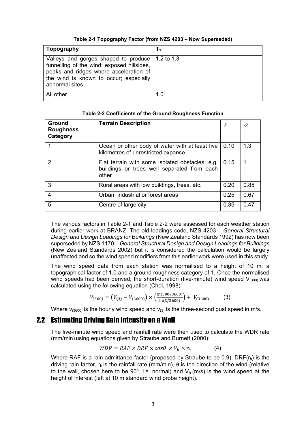|  |  |  | Table 2-1 Topography Factor (from NZS 4203 - Now Superseded) |
|--|--|--|--------------------------------------------------------------|
|--|--|--|--------------------------------------------------------------|

| Topography                                                                                                                                                                                            | $T_1$ |
|-------------------------------------------------------------------------------------------------------------------------------------------------------------------------------------------------------|-------|
| Valleys and gorges shaped to produce   1.2 to 1.3<br>funnelling of the wind; exposed hillsides,<br>peaks and ridges where acceleration of<br>the wind is known to occur; especially<br>abnormal sites |       |
| All other                                                                                                                                                                                             | 1.0   |

| <b>Ground</b><br><b>Roughness</b><br>Category | <b>Terrain Description</b>                                                                              | γ    | $\alpha$ |
|-----------------------------------------------|---------------------------------------------------------------------------------------------------------|------|----------|
|                                               | Ocean or other body of water with at least five<br>kilometres of unrestricted expanse                   | 0.10 | 1.3      |
| $\mathcal{P}$                                 | Flat terrain with some isolated obstacles, e.g.<br>buildings or trees well separated from each<br>other | 0.15 |          |
| 3                                             | Rural areas with low buildings, trees, etc.                                                             | 0.20 | 0.85     |
| 4                                             | Urban, industrial or forest areas                                                                       | 0.25 | 0.67     |
| 5                                             | Centre of large city                                                                                    | 0.35 | 0.47     |

#### Table 2-2 Coefficients of the Ground Roughness Function

The various factors in Table 2-1 and Table 2-2 were assessed for each weather station during earlier work at BRANZ. The old loadings code, NZS 4203 - General Structural Design and Design Loadings for Buildings (New Zealand Standards 1992) has now been superseded by NZS 1170 – General Structural Design and Design Loadings for Buildings (New Zealand Standards 2002) but it is considered the calculation would be largely unaffected and so the wind speed modifiers from this earlier work were used in this study.

The wind speed data from each station was normalised to a height of 10 m, a topographical factor of 1.0 and a ground roughness category of 1. Once the normalised wind speeds had been derived, the short-duration (five-minute) wind speed  $V_{(300)}$  was calculated using the following equation (Choi, 1998):

$$
V_{(300)} = (V_{(3)} - V_{(3600)}) \times \left(\frac{\ln(300/3600)}{\ln(3/3600)}\right) + V_{(3600)}\tag{3}
$$

Where  $v_{(3600)}$  is the hourly wind speed and  $v_{(3)}$  is the three-second gust speed in m/s.

## **2.2 Estimating Driving Rain Intensity on a Wall**

The five-minute wind speed and rainfall rate were then used to calculate the WDR rate (mm/min) using equations given by Straube and Burnett (2000):

$$
WDR = RAF \times DRF \times cos\theta \times V_h \times r_h \tag{4}
$$

Where RAF is a rain admittance factor (proposed by Straube to be 0.9), DRF $(r_h)$  is the driving rain factor,  $r_h$  is the rainfall rate (mm/min),  $\theta$  is the direction of the wind (relative to the wall, chosen here to be 90°, i.e. normal) and  $V_h(m/s)$  is the wind speed at the height of interest (left at 10 m standard wind probe height).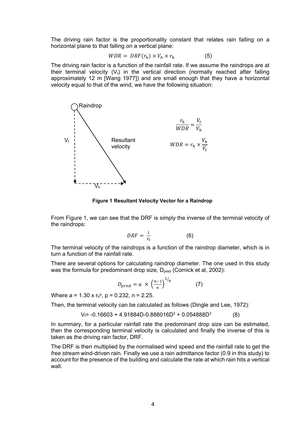The driving rain factor is the proportionality constant that relates rain falling on a horizontal plane to that falling on a vertical plane:

$$
WDR = DRF(r_h) \times V_h \times r_h \tag{5}
$$

The driving rain factor is a function of the rainfall rate. If we assume the raindrops are at their terminal velocity  $(V_t)$  in the vertical direction (normally reached after falling approximately 12 m [Wang 1977]) and are small enough that they have a horizontal velocity equal to that of the wind, we have the following situation:



Figure 1 Resultant Velocity Vector for a Raindrop

From Figure 1, we can see that the DRF is simply the inverse of the terminal velocity of the raindrops:

$$
DRF = \frac{1}{v_t} \tag{6}
$$

The terminal velocity of the raindrops is a function of the raindrop diameter, which is in turn a function of the rainfall rate

There are several options for calculating raindrop diameter. The one used in this study was the formula for predominant drop size, D<sub>pred</sub> (Cornick et al, 2002):

$$
D_{pred} = a \times \left(\frac{n-1}{n}\right)^{1/n} \tag{7}
$$

Where  $a = 1.30 \times r_h^p$ ,  $p = 0.232$ ,  $n = 2.25$ .

Then, the terminal velocity can be calculated as follows (Dingle and Lee, 1972):

 $V_i$  = -0.16603 + 4.91884D-0.888016D<sup>2</sup> + 0.054888D<sup>3</sup>  $(8)$ 

In summary, for a particular rainfall rate the predominant drop size can be estimated, then the corresponding terminal velocity is calculated and finally the inverse of this is taken as the driving rain factor. DRF.

The DRF is then multiplied by the normalised wind speed and the rainfall rate to get the free stream wind-driven rain. Finally we use a rain admittance factor (0.9 in this study) to account for the presence of the building and calculate the rate at which rain hits a vertical wall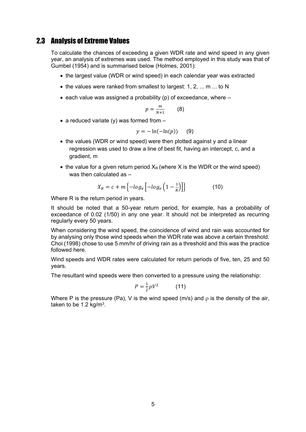## **2.3 Analysis of Extreme Values**

To calculate the chances of exceeding a given WDR rate and wind speed in any given year, an analysis of extremes was used. The method employed in this study was that of Gumbel (1954) and is summarised below (Holmes, 2001):

- the largest value (WDR or wind speed) in each calendar year was extracted
- the values were ranked from smallest to largest: 1, 2, ... m ... to N
- each value was assigned a probability (p) of exceedance, where  $-$

$$
p=\frac{m}{N+1}\qquad \quad \ \ (8)
$$

• a reduced variate (y) was formed from  $-$ 

$$
y = -\ln(-\ln(p)) \quad (9)
$$

- the values (WDR or wind speed) were then plotted against y and a linear regression was used to draw a line of best fit, having an intercept, c, and a gradient, m
- the value for a given return period  $X_R$  (where X is the WDR or the wind speed) was then calculated as  $-$

$$
X_R = c + m \left\{-\log_e \left[ -\log_e \left( 1 - \frac{1}{R} \right) \right] \right\} \tag{10}
$$

Where R is the return period in years.

It should be noted that a 50-year return period, for example, has a probability of exceedance of 0.02 (1/50) in any one year. It should not be interpreted as recurring regularly every 50 years.

When considering the wind speed, the coincidence of wind and rain was accounted for by analysing only those wind speeds when the WDR rate was above a certain threshold. Choi (1998) chose to use 5 mm/hr of driving rain as a threshold and this was the practice followed here.

Wind speeds and WDR rates were calculated for return periods of five, ten, 25 and 50 years.

The resultant wind speeds were then converted to a pressure using the relationship:

$$
P = \frac{1}{2}\rho V^2 \tag{11}
$$

Where P is the pressure (Pa), V is the wind speed (m/s) and  $\rho$  is the density of the air, taken to be 1.2  $kg/m<sup>3</sup>$ .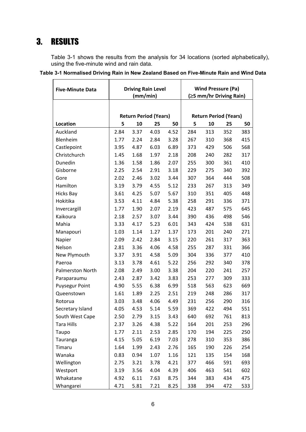## 3. RESULTS

Table 3-1 shows the results from the analysis for 34 locations (sorted alphabetically), using the five-minute wind and rain data.

 $\overline{\phantom{0}}$ 

| Table 3-1 Normalised Driving Rain in New Zealand Based on Five-Minute Rain and Wind Data |
|------------------------------------------------------------------------------------------|
|------------------------------------------------------------------------------------------|

| <b>Five-Minute Data</b> | <b>Driving Rain Level</b><br>(mm/min) |      |                              |      | <b>Wind Pressure (Pa)</b><br>(≥5 mm/hr Driving Rain) |     |     |     |  |
|-------------------------|---------------------------------------|------|------------------------------|------|------------------------------------------------------|-----|-----|-----|--|
|                         |                                       |      |                              |      |                                                      |     |     |     |  |
|                         |                                       |      | <b>Return Period (Years)</b> |      | <b>Return Period (Years)</b>                         |     |     |     |  |
| Location                | 5                                     | 10   | 25                           | 50   | 5                                                    | 10  | 25  | 50  |  |
| Auckland                | 2.84                                  | 3.37 | 4.03                         | 4.52 | 284                                                  | 313 | 352 | 383 |  |
| Blenheim                | 1.77                                  | 2.24 | 2.84                         | 3.28 | 267                                                  | 310 | 368 | 415 |  |
| Castlepoint             | 3.95                                  | 4.87 | 6.03                         | 6.89 | 373                                                  | 429 | 506 | 568 |  |
| Christchurch            | 1.45                                  | 1.68 | 1.97                         | 2.18 | 208                                                  | 240 | 282 | 317 |  |
| Dunedin                 | 1.36                                  | 1.58 | 1.86                         | 2.07 | 255                                                  | 300 | 361 | 410 |  |
| Gisborne                | 2.25                                  | 2.54 | 2.91                         | 3.18 | 229                                                  | 275 | 340 | 392 |  |
| Gore                    | 2.02                                  | 2.46 | 3.02                         | 3.44 | 307                                                  | 364 | 444 | 508 |  |
| Hamilton                | 3.19                                  | 3.79 | 4.55                         | 5.12 | 233                                                  | 267 | 313 | 349 |  |
| <b>Hicks Bay</b>        | 3.61                                  | 4.25 | 5.07                         | 5.67 | 310                                                  | 351 | 405 | 448 |  |
| Hokitika                | 3.53                                  | 4.11 | 4.84                         | 5.38 | 258                                                  | 291 | 336 | 371 |  |
| Invercargill            | 1.77                                  | 1.90 | 2.07                         | 2.19 | 423                                                  | 487 | 575 | 645 |  |
| Kaikoura                | 2.18                                  | 2.57 | 3.07                         | 3.44 | 390                                                  | 436 | 498 | 546 |  |
| Mahia                   | 3.33                                  | 4.17 | 5.23                         | 6.01 | 343                                                  | 424 | 538 | 631 |  |
| Manapouri               | 1.03                                  | 1.14 | 1.27                         | 1.37 | 173                                                  | 201 | 240 | 271 |  |
| Napier                  | 2.09                                  | 2.42 | 2.84                         | 3.15 | 220                                                  | 261 | 317 | 363 |  |
| Nelson                  | 2.81                                  | 3.36 | 4.06                         | 4.58 | 255                                                  | 287 | 331 | 366 |  |
| New Plymouth            | 3.37                                  | 3.91 | 4.58                         | 5.09 | 304                                                  | 336 | 377 | 410 |  |
| Paeroa                  | 3.13                                  | 3.78 | 4.61                         | 5.22 | 256                                                  | 292 | 340 | 378 |  |
| <b>Palmerston North</b> | 2.08                                  | 2.49 | 3.00                         | 3.38 | 204                                                  | 220 | 241 | 257 |  |
| Paraparaumu             | 2.43                                  | 2.87 | 3.42                         | 3.83 | 253                                                  | 277 | 309 | 333 |  |
| <b>Puysegur Point</b>   | 4.90                                  | 5.55 | 6.38                         | 6.99 | 518                                                  | 563 | 623 | 669 |  |
| Queenstown              | 1.61                                  | 1.89 | 2.25                         | 2.51 | 219                                                  | 248 | 286 | 317 |  |
| Rotorua                 | 3.03                                  | 3.48 | 4.06                         | 4.49 | 231                                                  | 256 | 290 | 316 |  |
| Secretary Island        | 4.05                                  | 4.53 | 5.14                         | 5.59 | 369                                                  | 422 | 494 | 551 |  |
| South West Cape         | 2.50                                  | 2.79 | 3.15                         | 3.43 | 640                                                  | 692 | 761 | 813 |  |
| <b>Tara Hills</b>       | 2.37                                  | 3.26 | 4.38                         | 5.22 | 164                                                  | 201 | 253 | 296 |  |
| Taupo                   | 1.77                                  | 2.11 | 2.53                         | 2.85 | 170                                                  | 194 | 225 | 250 |  |
| Tauranga                | 4.15                                  | 5.05 | 6.19                         | 7.03 | 278                                                  | 310 | 353 | 386 |  |
| Timaru                  | 1.64                                  | 1.99 | 2.43                         | 2.76 | 165                                                  | 190 | 226 | 254 |  |
| Wanaka                  | 0.83                                  | 0.94 | 1.07                         | 1.16 | 121                                                  | 135 | 154 | 168 |  |
| Wellington              | 2.75                                  | 3.21 | 3.78                         | 4.21 | 377                                                  | 466 | 591 | 693 |  |
| Westport                | 3.19                                  | 3.56 | 4.04                         | 4.39 | 406                                                  | 463 | 541 | 602 |  |
| Whakatane               | 4.92                                  | 6.11 | 7.63                         | 8.75 | 344                                                  | 383 | 434 | 475 |  |
| Whangarei               | 4.71                                  | 5.81 | 7.21                         | 8.25 | 338                                                  | 394 | 472 | 533 |  |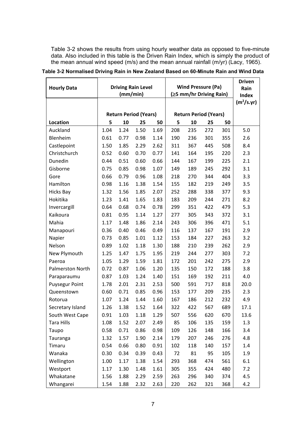Table 3-2 shows the results from using hourly weather data as opposed to five-minute data. Also included in this table is the Driven Rain Index, which is simply the product of the mean annual wind speed (m/s) and the mean annual rainfall (m/yr) (Lacy, 1965).

| <b>Hourly Data</b>    | <b>Driving Rain Level</b>    |      |      | <b>Wind Pressure (Pa)</b>    |     |     |     | <b>Driven</b><br>Rain |                        |
|-----------------------|------------------------------|------|------|------------------------------|-----|-----|-----|-----------------------|------------------------|
|                       | (mm/min)                     |      |      | (≥5 mm/hr Driving Rain)      |     |     |     | Index                 |                        |
|                       |                              |      |      |                              |     |     |     |                       | (m <sup>2</sup> /s.yr) |
|                       | <b>Return Period (Years)</b> |      |      | <b>Return Period (Years)</b> |     |     |     |                       |                        |
| Location              | 5                            | 10   | 25   | 50                           | 5   | 10  | 25  | 50                    |                        |
| Auckland              | 1.04                         | 1.24 | 1.50 | 1.69                         | 208 | 235 | 272 | 301                   | 5.0                    |
| Blenheim              | 0.61                         | 0.77 | 0.98 | 1.14                         | 190 | 236 | 301 | 355                   | 2.6                    |
| Castlepoint           | 1.50                         | 1.85 | 2.29 | 2.62                         | 311 | 367 | 445 | 508                   | 8.4                    |
| Christchurch          | 0.52                         | 0.60 | 0.70 | 0.77                         | 141 | 164 | 195 | 220                   | 2.3                    |
| Dunedin               | 0.44                         | 0.51 | 0.60 | 0.66                         | 144 | 167 | 199 | 225                   | 2.1                    |
| Gisborne              | 0.75                         | 0.85 | 0.98 | 1.07                         | 149 | 189 | 245 | 292                   | 3.1                    |
| Gore                  | 0.66                         | 0.79 | 0.96 | 1.08                         | 218 | 270 | 344 | 404                   | 3.3                    |
| Hamilton              | 0.98                         | 1.16 | 1.38 | 1.54                         | 155 | 182 | 219 | 249                   | 3.5                    |
| <b>Hicks Bay</b>      | 1.32                         | 1.56 | 1.85 | 2.07                         | 252 | 288 | 338 | 377                   | 9.3                    |
| Hokitika              | 1.23                         | 1.41 | 1.65 | 1.83                         | 183 | 209 | 244 | 271                   | 8.2                    |
| Invercargill          | 0.64                         | 0.68 | 0.74 | 0.78                         | 299 | 351 | 422 | 479                   | 5.3                    |
| Kaikoura              | 0.81                         | 0.95 | 1.14 | 1.27                         | 277 | 305 | 343 | 372                   | 3.1                    |
| Mahia                 | 1.17                         | 1.48 | 1.86 | 2.14                         | 243 | 306 | 396 | 471                   | 5.1                    |
| Manapouri             | 0.36                         | 0.40 | 0.46 | 0.49                         | 116 | 137 | 167 | 191                   | 2.9                    |
| Napier                | 0.73                         | 0.85 | 1.01 | 1.12                         | 153 | 184 | 227 | 263                   | 3.2                    |
| Nelson                | 0.89                         | 1.02 | 1.18 | 1.30                         | 188 | 210 | 239 | 262                   | 2.9                    |
| New Plymouth          | 1.25                         | 1.47 | 1.75 | 1.95                         | 219 | 244 | 277 | 303                   | 7.2                    |
| Paeroa                | 1.05                         | 1.29 | 1.59 | 1.81                         | 172 | 201 | 242 | 275                   | 2.9                    |
| Palmerston North      | 0.72                         | 0.87 | 1.06 | 1.20                         | 135 | 150 | 172 | 188                   | 3.8                    |
| Paraparaumu           | 0.87                         | 1.03 | 1.24 | 1.40                         | 151 | 169 | 192 | 211                   | 4.0                    |
| <b>Puysegur Point</b> | 1.78                         | 2.01 | 2.31 | 2.53                         | 500 | 591 | 717 | 818                   | 20.0                   |
| Queenstown            | 0.60                         | 0.71 | 0.85 | 0.96                         | 153 | 177 | 209 | 235                   | 2.3                    |
| Rotorua               | 1.07                         | 1.24 | 1.44 | 1.60                         | 167 | 186 | 212 | 232                   | 4.9                    |
| Secretary Island      | 1.26                         | 1.38 | 1.52 | 1.64                         | 322 | 422 | 567 | 689                   | 17.1                   |
| South West Cape       | 0.91                         | 1.03 | 1.18 | 1.29                         | 507 | 556 | 620 | 670                   | 13.6                   |
| <b>Tara Hills</b>     | 1.08                         | 1.52 | 2.07 | 2.49                         | 85  | 106 | 135 | 159                   | 1.3                    |
| Taupo                 | 0.58                         | 0.71 | 0.86 | 0.98                         | 109 | 126 | 148 | 166                   | 3.4                    |
| Tauranga              | 1.32                         | 1.57 | 1.90 | 2.14                         | 179 | 207 | 246 | 276                   | 4.8                    |
| Timaru                | 0.54                         | 0.66 | 0.80 | 0.91                         | 102 | 118 | 140 | 157                   | 1.4                    |
| Wanaka                | 0.30                         | 0.34 | 0.39 | 0.43                         | 72  | 81  | 95  | 105                   | 1.9                    |
| Wellington            | 1.00                         | 1.17 | 1.38 | 1.54                         | 293 | 368 | 474 | 561                   | 6.1                    |
| Westport              | 1.17                         | 1.30 | 1.48 | 1.61                         | 305 | 355 | 424 | 480                   | 7.2                    |
| Whakatane             | 1.56                         | 1.88 | 2.29 | 2.59                         | 263 | 296 | 340 | 374                   | 4.5                    |
| Whangarei             | 1.54                         | 1.88 | 2.32 | 2.63                         | 220 | 262 | 321 | 368                   | 4.2                    |

## Table 3-2 Normalised Driving Rain in New Zealand Based on 60-Minute Rain and Wind Data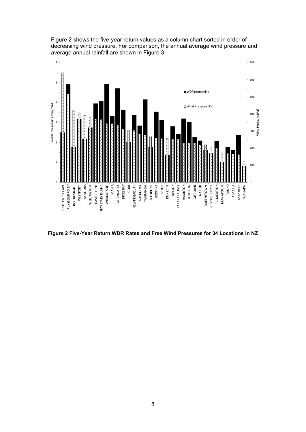

Figure 2 shows the five-year return values as a column chart sorted in order of decreasing wind pressure. For comparison, the annual average wind pressure and average annual rainfall are shown in Figure 3.

**Figure 2 Five-Year Return WDR Rates and Free Wind Pressures for 34 Locations in NZ**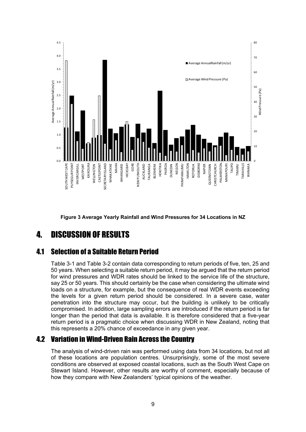

Figure 3 Average Yearly Rainfall and Wind Pressures for 34 Locations in NZ

#### $\mathbf{\mathbf{I}}$ **DISCUSSION OF RESULTS**

#### **41 Selection of a Suitable Return Period**

Table 3-1 and Table 3-2 contain data corresponding to return periods of five, ten, 25 and 50 years. When selecting a suitable return period, it may be arqued that the return period for wind pressures and WDR rates should be linked to the service life of the structure. say 25 or 50 years. This should certainly be the case when considering the ultimate wind loads on a structure, for example, but the consequence of real WDR events exceeding the levels for a given return period should be considered. In a severe case, water penetration into the structure may occur, but the building is unlikely to be critically compromised. In addition, large sampling errors are introduced if the return period is far longer than the period that data is available. It is therefore considered that a five-year return period is a pragmatic choice when discussing WDR in New Zealand, noting that this represents a 20% chance of exceedance in any given year.

## **4.2 Variation in Wind-Driven Rain Across the Country**

The analysis of wind-driven rain was performed using data from 34 locations, but not all of these locations are population centres. Unsurprisingly, some of the most severe conditions are observed at exposed coastal locations, such as the South West Cape on Stewart Island. However, other results are worthy of comment, especially because of how they compare with New Zealanders' typical opinions of the weather.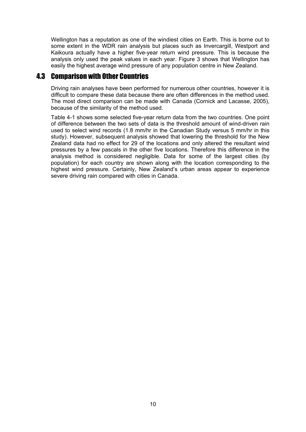Wellington has a reputation as one of the windiest cities on Earth. This is borne out to some extent in the WDR rain analysis but places such as Invercargill, Westport and Kaikoura actually have a higher five-year return wind pressure. This is because the analysis only used the peak values in each year. Figure 3 shows that Wellington has easily the highest average wind pressure of any population centre in New Zealand.

## 4.3 Comparison with Other Countries

Driving rain analyses have been performed for numerous other countries, however it is difficult to compare these data because there are often differences in the method used. The most direct comparison can be made with Canada (Cornick and Lacasse, 2005), because of the similarity of the method used.

Table 4-1 shows some selected five-year return data from the two countries. One point of difference between the two sets of data is the threshold amount of wind-driven rain used to select wind records (1.8 mm/hr in the Canadian Study versus 5 mm/hr in this study). However, subsequent analysis showed that lowering the threshold for the New Zealand data had no effect for 29 of the locations and only altered the resultant wind pressures by a few pascals in the other five locations. Therefore this difference in the analysis method is considered negligible. Data for some of the largest cities (by population) for each country are shown along with the location corresponding to the highest wind pressure. Certainly, New Zealand's urban areas appear to experience severe driving rain compared with cities in Canada.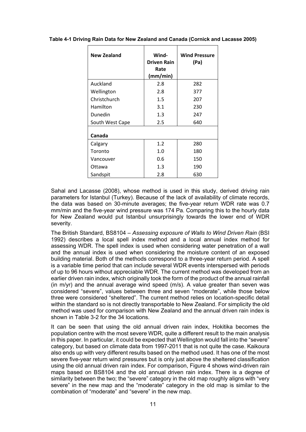| <b>New Zealand</b> | Wind-<br><b>Driven Rain</b><br>Rate<br>(mm/min) | <b>Wind Pressure</b><br>(Pa) |  |
|--------------------|-------------------------------------------------|------------------------------|--|
| Auckland           | 2.8                                             | 282                          |  |
| Wellington         | 2.8                                             | 377                          |  |
| Christchurch       | 1.5                                             | 207                          |  |
| Hamilton           | 3.1                                             | 230                          |  |
| Dunedin            | 1.3                                             | 247                          |  |
| South West Cape    | 2.5                                             | 640                          |  |
| Canada             |                                                 |                              |  |
| Calgary            | 1.2                                             | 280                          |  |
| Toronto            | 1.0                                             | 180                          |  |
| Vancouver          | 0.6                                             | 150                          |  |
| Ottawa             | $1.3\,$                                         | 190                          |  |
| Sandspit           | 2.8                                             | 630                          |  |

#### Table 4-1 Driving Rain Data for New Zealand and Canada (Cornick and Lacasse 2005)

Sahal and Lacasse (2008), whose method is used in this study, derived driving rain parameters for Istanbul (Turkey). Because of the lack of availability of climate records, the data was based on 30-minute averages; the five-year return WDR rate was 0.7 mm/min and the five-year wind pressure was 174 Pa. Comparing this to the hourly data for New Zealand would put Istanbul unsurprisingly towards the lower end of WDR severity.

The British Standard, BS8104 – Assessing exposure of Walls to Wind Driven Rain (BSI) 1992) describes a local spell index method and a local annual index method for assessing WDR. The spell index is used when considering water penetration of a wall and the annual index is used when considering the moisture content of an exposed building material. Both of the methods correspond to a three-year return period. A spell is a variable time period that can include several WDR events interspersed with periods of up to 96 hours without appreciable WDR. The current method was developed from an earlier driven rain index, which originally took the form of the product of the annual rainfall (in  $m/vr$ ) and the annual average wind speed ( $m/s$ ). A value greater than seven was considered "severe", values between three and seven "moderate", while those below three were considered "sheltered". The current method relies on location-specific detail within the standard so is not directly transportable to New Zealand. For simplicity the old method was used for comparison with New Zealand and the annual driven rain index is shown in Table 3-2 for the 34 locations.

It can be seen that using the old annual driven rain index, Hokitika becomes the population centre with the most severe WDR, quite a different result to the main analysis in this paper. In particular, it could be expected that Wellington would fall into the "severe" category, but based on climate data from 1997-2011 that is not quite the case. Kaikoura also ends up with very different results based on the method used. It has one of the most severe five-year return wind pressures but is only just above the sheltered classification using the old annual driven rain index. For comparison, Figure 4 shows wind-driven rain maps based on BS8104 and the old annual driven rain index. There is a degree of similarity between the two; the "severe" category in the old map roughly aligns with "very severe" in the new map and the "moderate" category in the old map is similar to the combination of "moderate" and "severe" in the new map.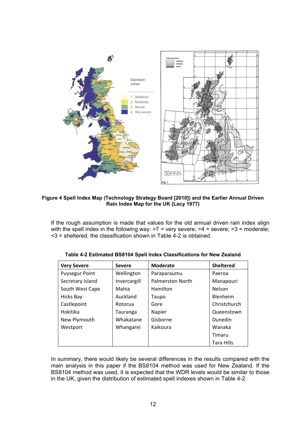

Figure 4 Spell Index Map (Technology Strategy Board [2010]) and the Earlier Annual Driven **Rain Index Map for the UK (Lacy 1977)** 

If the rough assumption is made that values for the old annual driven rain index align with the spell index in the following way:  $>7$  = very severe;  $>4$  = severe;  $>3$  = moderate;  $<$ 3 = sheltered, the classification shown in Table 4-2 is obtained.

| <b>Very Severe</b>    | <b>Severe</b> | <b>Moderate</b>         | <b>Sheltered</b> |  |
|-----------------------|---------------|-------------------------|------------------|--|
| <b>Puysegur Point</b> | Wellington    | Paraparaumu             | Paeroa           |  |
| Secretary Island      | Invercargill  | <b>Palmerston North</b> | Manapouri        |  |
| South West Cape       | Mahia         | Hamilton                | Nelson           |  |
| <b>Hicks Bay</b>      | Auckland      | Taupo                   | Blenheim         |  |
| Castlepoint           | Rotorua       | Gore                    | Christchurch     |  |
| Hokitika              | Tauranga      | Napier                  | Queenstown       |  |
| New Plymouth          | Whakatane     | Gisborne                | Dunedin          |  |
| Westport              | Whangarei     | Kaikoura                | Wanaka           |  |
|                       |               |                         | Timaru           |  |
|                       |               |                         | Tara Hills       |  |

Table 4-2 Estimated BS8104 Spell Index Classifications for New Zealand

In summary, there would likely be several differences in the results compared with the main analysis in this paper if the BS8104 method was used for New Zealand. If the BS8104 method was used, it is expected that the WDR levels would be similar to those in the UK, given the distribution of estimated spell indexes shown in Table 4-2.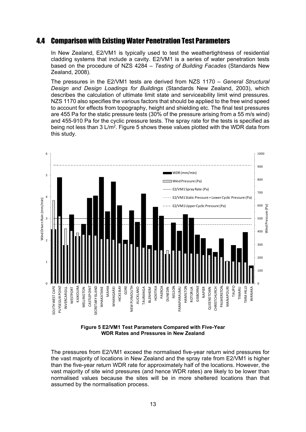## 4.4 Comparison with Existing Water Penetration Test Parameters

In New Zealand, E2/VM1 is typically used to test the weathertightness of residential cladding systems that include a cavity. E2/VM1 is a series of water penetration tests based on the procedure of NZS 4284 – Testing of Building Facades (Standards New Zealand, 2008).

The pressures in the E2/VM1 tests are derived from NZS 1170 – General Structural *Design and Design Loadings for Buildings* (Standards New Zealand, 2003), which describes the calculation of ultimate limit state and serviceability limit wind pressures. NZS 1170 also specifies the various factors that should be applied to the free wind speed to account for effects from topography, height and shielding etc. The final test pressures are 455 Pa for the static pressure tests  $(30\%$  of the pressure arising from a 55 m/s wind) and 455-910 Pa for the cyclic pressure tests. The spray rate for the tests is specified as being not less than 3 L/m<sup>2</sup>. Figure 5 shows these values plotted with the WDR data from this study.



**Figure 5 E2/VM1 Test Parameters Compared with Five-Year WDR Rates and Pressures in New Zealand** 

The pressures from E2/VM1 exceed the normalised five-vear return wind pressures for the vast majority of locations in New Zealand and the spray rate from E2/VM1 is higher than the five-year return WDR rate for approximately half of the locations. However, the vast majority of site wind pressures (and hence WDR rates) are likely to be lower than normalised values because the sites will be in more sheltered locations than that assumed by the normalisation process.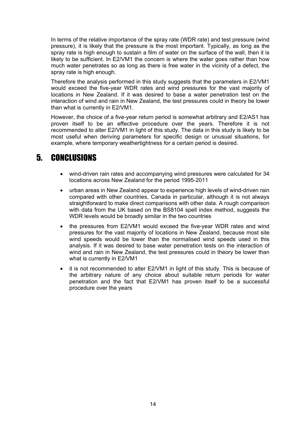In terms of the relative importance of the spray rate (WDR rate) and test pressure (wind pressure), it is likely that the pressure is the most important. Typically, as long as the spray rate is high enough to sustain a film of water on the surface of the wall, then it is likely to be sufficient. In E2/VM1 the concern is where the water goes rather than how much water penetrates so as long as there is free water in the vicinity of a defect, the spray rate is high enough.

Therefore the analysis performed in this study suggests that the parameters in E2/VM1 would exceed the five-year WDR rates and wind pressures for the vast majority of locations in New Zealand. If it was desired to base a water penetration test on the interaction of wind and rain in New Zealand, the test pressures could in theory be lower than what is currently in E2/VM1.

However, the choice of a five-year return period is somewhat arbitrary and E2/AS1 has proven itself to be an effective procedure over the years. Therefore it is not recommended to alter E2/VM1 in light of this study. The data in this study is likely to be most useful when deriving parameters for specific design or unusual situations, for example, where temporary weathertightness for a certain period is desired.

#### 5 **CONCLUSIONS**

- wind-driven rain rates and accompanying wind pressures were calculated for 34  $\bullet$ locations across New Zealand for the period 1995-2011
- urban areas in New Zealand appear to experience high levels of wind-driven rain compared with other countries, Canada in particular, although it is not always straightforward to make direct comparisons with other data. A rough comparison with data from the UK based on the BS8104 spell index method, suggests the WDR levels would be broadly similar in the two countries
- the pressures from E2/VM1 would exceed the five-year WDR rates and wind pressures for the vast majority of locations in New Zealand, because most site wind speeds would be lower than the normalised wind speeds used in this analysis. If it was desired to base water penetration tests on the interaction of wind and rain in New Zealand, the test pressures could in theory be lower than what is currently in E2/VM1
- it is not recommended to alter E2/VM1 in light of this study. This is because of  $\bullet$ the arbitrary nature of any choice about suitable return periods for water penetration and the fact that E2/VM1 has proven itself to be a successful procedure over the years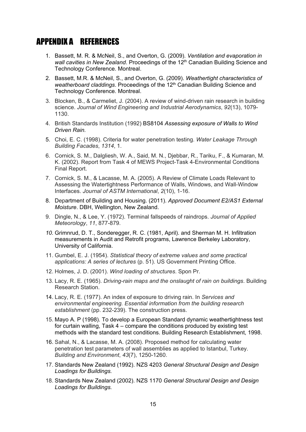## APPENDIX A REFERENCES

- 1. Bassett, M. R. & McNeil, S., and Overton, G. (2009). Ventilation and evaporation in *wall cavities in New Zealand.* Proceedings of the 12<sup>th</sup> Canadian Building Science and Technology Conference. Montreal.
- 2. Bassett, M.R. & McNeil, S., and Overton, G. (2009). Weathertight characteristics of *weatherboard claddings*. Proceedings of the 12<sup>th</sup> Canadian Building Science and Technology Conference. Montreal.
- 3. Blocken, B., & Carmeliet, J. (2004). A review of wind-driven rain research in building science. Journal of Wind Engineering and Industrial Aerodynamics, 92(13), 1079-1130.
- 4. British Standards Institution (1992) BS8104 Assessing exposure of Walls to Wind *Driven Rain.*
- 5. Choi, E. C. (1998). Criteria for water penetration testing. Water Leakage Through *Building Facades1314*
- 6. Cornick, S. M., Dalgliesh, W. A., Said, M. N., Djebbar, R., Tariku, F., & Kumaran, M. K. (2002). Report from Task 4 of MEWS Project-Task 4-Environmental Conditions Final Report.
- 7. Cornick, S. M., & Lacasse, M. A. (2005). A Review of Climate Loads Relevant to Assessing the Watertightness Performance of Walls, Windows, and Wall-Window Interfaces. Journal of ASTM International, 2(10), 1-16.
- 8. Department of Building and Housing. (2011). Approved Document E2/AS1 External *Moisture*. DBH, Wellington, New Zealand.
- 9. Dingle, N., & Lee, Y. (1972). Terminal fallspeeds of raindrops, *Journal of Applied Meteorology11*
- 10. Grimnrud, D. T., Sonderegger, R. C. (1981, April). and Sherman M. H. Infiltration measurements in Audit and Retrofit programs, Lawrence Berkeley Laboratory, University of California.
- 11. Gumbel, E. J. (1954). Statistical theory of extreme values and some practical applications: A series of lectures (p. 51). US Government Printing Office.
- 12. Holmes, J. D. (2001). *Wind loading of structures*. Spon Pr.
- 13. Lacy, R. E. (1965). *Driving-rain maps and the onslaught of rain on buildings*. Building Research Station.
- 14. Lacy, R. E. (1977). An index of exposure to driving rain. In Services and *environmental engineering. Essential information from the building research*  establishment (pp. 232-239). The construction press.
- 15. Mayo A. P (1998). To develop a European Standard dynamic weathertightness test for curtain walling, Task  $4$  – compare the conditions produced by existing test methods with the standard test conditions. Building Research Establishment, 1998.
- 16. Sahal, N., & Lacasse, M. A. (2008). Proposed method for calculating water penetration test parameters of wall assemblies as applied to Istanbul. Turkey, *Building and Environment*, 43(7), 1250-1260.
- 17. Standards New Zealand (1992). NZS 4203 General Structural Design and Design *Loadings for Buildings.*
- 18. Standards New Zealand (2002). NZS 1170 General Structural Design and Design *Loadings for Buildings.*